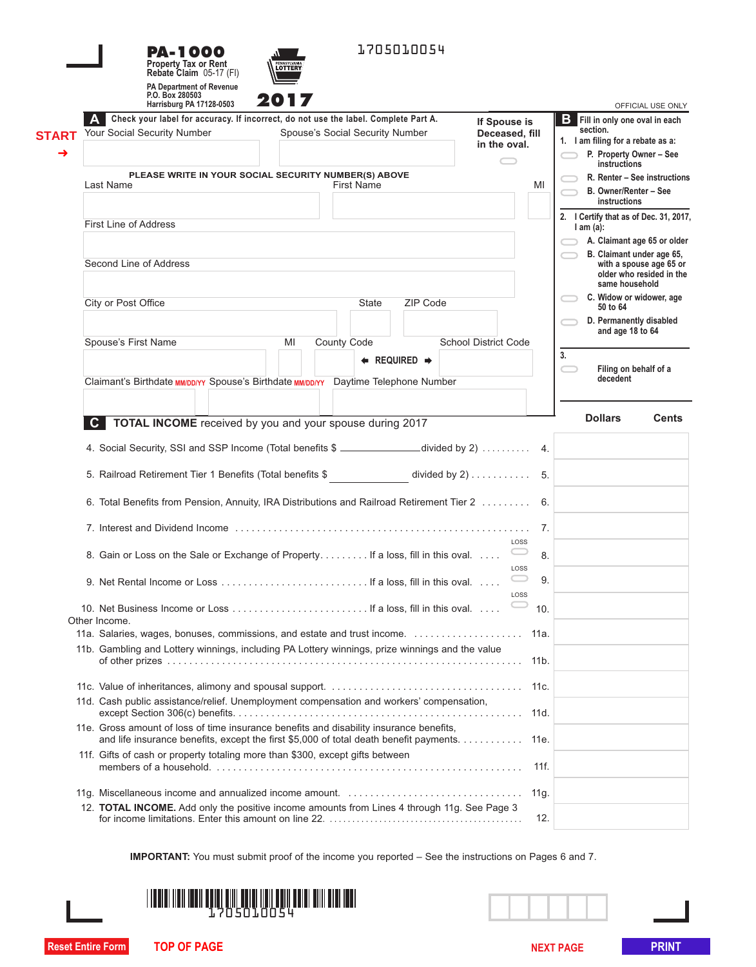|              | <b>PA-1000</b><br><b>Property Tax or Rent</b><br>Rebate Claim 05-17 (FI)       | 1705010054<br>LOTTERY                                                                           |                                                                             |
|--------------|--------------------------------------------------------------------------------|-------------------------------------------------------------------------------------------------|-----------------------------------------------------------------------------|
|              | <b>PA Department of Revenue</b><br>P.O. Box 280503<br>Harrisburg PA 17128-0503 | 201                                                                                             | OFFICIAL USE ONLY                                                           |
|              |                                                                                | Check your label for accuracy. If incorrect, do not use the label. Complete Part A.             | <b>B</b> Fill in only one oval in each<br>If Spouse is                      |
| <b>START</b> | Your Social Security Number                                                    | Spouse's Social Security Number                                                                 | section.<br>Deceased, fill<br>1. I am filing for a rebate as a:             |
| →            |                                                                                |                                                                                                 | in the oval.<br>P. Property Owner - See                                     |
|              |                                                                                |                                                                                                 | instructions                                                                |
|              | Last Name                                                                      | PLEASE WRITE IN YOUR SOCIAL SECURITY NUMBER(S) ABOVE<br><b>First Name</b>                       | R. Renter - See instructions<br>MI<br>B. Owner/Renter - See<br>instructions |
|              |                                                                                |                                                                                                 | 2. I Certify that as of Dec. 31, 2017,                                      |
|              | <b>First Line of Address</b>                                                   |                                                                                                 | $l$ am $(a)$ :                                                              |
|              |                                                                                |                                                                                                 | A. Claimant age 65 or older<br>B. Claimant under age 65,                    |
|              | Second Line of Address                                                         |                                                                                                 | with a spouse age 65 or                                                     |
|              |                                                                                |                                                                                                 | older who resided in the<br>same household                                  |
|              |                                                                                | ZIP Code                                                                                        | C. Widow or widower, age                                                    |
|              | City or Post Office                                                            | State                                                                                           | 50 to 64                                                                    |
|              |                                                                                |                                                                                                 | D. Permanently disabled<br>and age 18 to 64                                 |
|              | Spouse's First Name                                                            | <b>County Code</b><br>MI                                                                        | <b>School District Code</b>                                                 |
|              |                                                                                | $\leftarrow$ REQUIRED $\rightarrow$                                                             | 3.                                                                          |
|              |                                                                                |                                                                                                 | Filing on behalf of a<br>decedent                                           |
|              |                                                                                | Claimant's Birthdate MM/DD/YY Spouse's Birthdate MM/DD/YY Daytime Telephone Number              |                                                                             |
|              |                                                                                |                                                                                                 |                                                                             |
|              | C.                                                                             | TOTAL INCOME received by you and your spouse during 2017                                        | <b>Dollars</b><br><b>Cents</b>                                              |
|              |                                                                                |                                                                                                 |                                                                             |
|              |                                                                                | 4. Social Security, SSI and SSP Income (Total benefits \$ ________________divided by 2)  4.     |                                                                             |
|              |                                                                                | divided by $2)$ 5.                                                                              |                                                                             |
|              | 5. Railroad Retirement Tier 1 Benefits (Total benefits \$                      |                                                                                                 |                                                                             |
|              |                                                                                |                                                                                                 |                                                                             |
|              |                                                                                |                                                                                                 |                                                                             |
|              |                                                                                | 6. Total Benefits from Pension, Annuity, IRA Distributions and Railroad Retirement Tier 2  6.   |                                                                             |
|              |                                                                                |                                                                                                 | 7.                                                                          |
|              |                                                                                |                                                                                                 | LOSS                                                                        |
|              |                                                                                | 8. Gain or Loss on the Sale or Exchange of Property. If a loss, fill in this oval.              | 8.                                                                          |
|              |                                                                                |                                                                                                 | LOSS                                                                        |
|              |                                                                                |                                                                                                 | 9.                                                                          |
|              |                                                                                |                                                                                                 | LOSS<br>10.                                                                 |
|              | Other Income.                                                                  |                                                                                                 |                                                                             |
|              |                                                                                | 11a. Salaries, wages, bonuses, commissions, and estate and trust income.                        | 11a.                                                                        |
|              |                                                                                | 11b. Gambling and Lottery winnings, including PA Lottery winnings, prize winnings and the value |                                                                             |
|              |                                                                                |                                                                                                 | 11 <sub>b</sub> .                                                           |
|              |                                                                                |                                                                                                 |                                                                             |
|              |                                                                                |                                                                                                 | 11c.                                                                        |
|              |                                                                                | 11d. Cash public assistance/relief. Unemployment compensation and workers' compensation,        | 11d.                                                                        |
|              |                                                                                | 11e. Gross amount of loss of time insurance benefits and disability insurance benefits,         |                                                                             |
|              |                                                                                | and life insurance benefits, except the first \$5,000 of total death benefit payments.          | 11e.                                                                        |
|              | 11f. Gifts of cash or property totaling more than \$300, except gifts between  |                                                                                                 |                                                                             |
|              |                                                                                |                                                                                                 | 11f.                                                                        |
|              |                                                                                |                                                                                                 | 11g.                                                                        |
|              |                                                                                | 12. TOTAL INCOME. Add only the positive income amounts from Lines 4 through 11g. See Page 3     | 12.                                                                         |

**IMPORTANT:** You must submit proof of the income you reported – See the instructions on Pages 6 and 7.